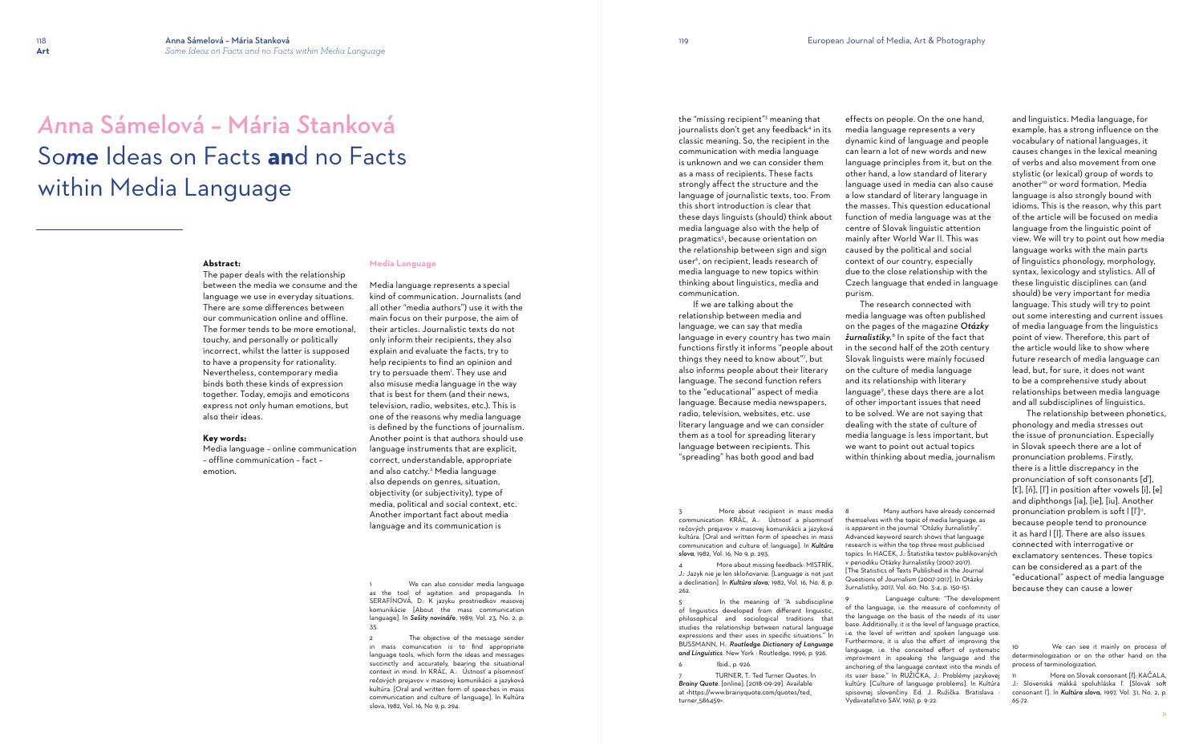# *An*na Sámelová – Mária *S*tanková So*me* Ideas on Facts **an**d no Facts within Media Language

#### **Abstract:**

The paper deals with the relationship between the media we consume and the language we use in everyday situations. There are some differences between our communication online and offline. The former tends to be more emotional, touchy, and personally or politically incorrect, whilst the latter is supposed to have a propensity for rationality. Nevertheless, contemporary media binds both these kinds of expression together. Today, emojis and emoticons express not only human emotions, but also their ideas.

#### **Key words:**

Media language – online communication – offline communication – fact – emotion.

#### **Media Language**

We can also consider media language as the tool of agitation and propaganda. In SERAFÍNOVÁ, D.: K jazyku prostriedkov masovej komunikácie [About the mass communication language]. In *Sešity novináře*, 1989, Vol. 23, No. 2, p. 35.

Media language represents a special kind of communication. Journalists (and all other "media authors") use it with the main focus on their purpose, the aim of their articles. Journalistic texts do not only inform their recipients, they also explain and evaluate the facts, try to help recipients to find an opinion and try to persuade them'. They use and also misuse media language in the way that is best for them (and their news, television, radio, websites, etc.). This is one of the reasons why media language is defined by the functions of journalism. Another point is that authors should use language instruments that are explicit, correct, understandable, appropriate and also catchy.<sup>2</sup> Media language also depends on genres, situation, objectivity (or subjectivity), type of media, political and social context, etc. Another important fact about media language and its communication is

> In the meaning of "A subdiscipline of linguistics developed from different linguistic, philosophical and sociological traditions that studies the relationship between natural language expressions and their uses in specific situations." In BUSSMANN, H.: *Routledge Dictionary of Language and Linguistics*. New York : Routledge, 1996, p. 926.

2 The objective of the message sender in mass comunication is to find appropriate language tools, which form the ideas and messages succinctly and accurately, bearing the situational context in mind. In KRÁĽ, A.: Ústnosť a písomnosť rečových prejavov v masovej komunikácii a jazyková kultúra. [Oral and written form of speeches in mass communication and culture of language]. In Kultúra slova, 1982, Vol. 16, No 9, p. 294.

the "missing recipient"<sup>3</sup> meaning that journalists don't get any feedback<sup>4</sup> in its classic meaning. So, the recipient in the communication with media language is unknown and we can consider them as a mass of recipients. These facts strongly affect the structure and the language of journalistic texts, too. From this short introduction is clear that these days linguists (should) think about media language also with the help of pragmatics<sup>5</sup>, because orientation on the relationship between sign and sign user<sup>6</sup>, on recipient, leads research of media language to new topics within thinking about linguistics, media and communication.

> Many authors have already concerned themselves with the topic of media language, as is apparent in the journal "Otázky žurnalistiky". Advanced keyword search shows that language research is within the top three most publicised topics. In HACEK, J.: Štatistika textov publikovaných v periodiku Otázky žurnalistiky (2007-2017). [The Statistics of Texts Published in the Journal Questions of Journalism (2007-2017]. In Otázky žurnalistiky, 2017, Vol. 60, No. 3-4, p. 150-151.

 If we are talking about the relationship between media and language, we can say that media language in every country has two main functions firstly it informs "people about things they need to know about"<sup>7</sup> , but also informs people about their literary language. The second function refers to the "educational" aspect of media language. Because media newspapers, radio, television, websites, etc. use literary language and we can consider them as a tool for spreading literary language between recipients. This "spreading" has both good and bad

> Language culture: "The development of the language, i.e. the measure of confomnity of the language on the basis of the needs of its user base. Additionally, it is the level of language practice, i.e. the level of written and spoken language use. Furthermore, it is also the effort of improving the language, i.e. the conceited effort of systematic improvment in speaking the language and the anchoring of the language context into the minds of its user base." In RUŽIČKA, J.: Problémy jazykovej kultúry. [Culture of language problems]. In Kultúra spisovnej slovenčiny. Ed. J. Ružička. Bratislava : Vydavateľstvo SAV, 1967, p. 9-22.

3 More about recipient in mass media communication: KRÁĽ, A.: Ústnosť a písomnosť rečových prejavov v masovej komunikácii a jazyková kultúra. [Oral and written form of speeches in mass communication and culture of language]. In *Kultúra slova*, 1982, Vol. 16, No 9, p. 293.

4 More about missing feedback: MISTRÍK, J.: Jazyk nie je len skloňovanie. [Language is not just a declination]. In *Kultúra slova*, 1982, Vol. 16, No. 8, p. 262.

#### 6 Ibid., p. 926.

7 TURNER, T.: Ted Turner Quotes. In *Brainy Quote*. [online]. [2018-09-29]. Available at <https://www.brainyquote.com/quotes/ted\_ turner\_586459>.

effects on people. On the one hand, media language represents a very dynamic kind of language and people can learn a lot of new words and new language principles from it, but on the other hand, a low standard of literary language used in media can also cause a low standard of literary language in the masses. This question educational function of media language was at the centre of Slovak linguistic attention mainly after World War II. This was caused by the political and social context of our country, especially due to the close relationship with the Czech language that ended in language purism.

 The research connected with media language was often published on the pages of the magazine *Otázky žurnalistiky.* 8 In spite of the fact that in the second half of the 20th century Slovak linguists were mainly focused on the culture of media language and its relationship with literary language<sup>9</sup>, these days there are a lot of other important issues that need to be solved. We are not saying that dealing with the state of culture of media language is less important, but we want to point out actual topics within thinking about media, journalism and linguistics. Media language, for example, has a strong influence on the vocabulary of national languages, it causes changes in the lexical meaning of verbs and also movement from one stylistic (or lexical) group of words to another 10 or word formation. Media language is also strongly bound with idioms. This is the reason, why this part of the article will be focused on media language from the linguistic point of view. We will try to point out how media language works with the main parts of linguistics phonology, morphology, syntax, lexicology and stylistics. All of these linguistic disciplines can (and should) be very important for media language. This study will try to point out some interesting and current issues of media language from the linguistics point of view. Therefore, this part of the article would like to show where future research of media language can lead, but, for sure, it does not want to be a comprehensive study about relationships between media language and all subdisciplines of linguistics.

 The relationship between phonetics, phonology and media stresses out the issue of pronunciation. Especially in Slovak speech there are a lot of pronunciation problems. Firstly, there is a little discrepancy in the pronunciation of soft consonants [ď], [ť], [ň], [ľ] in position after vowels [i], [e] and diphthongs [ia], [ie], [iu]. Another pronunciation problem is soft I [I']", because people tend to pronounce it as hard l [l]. There are also issues connected with interrogative or exclamatory sentences. These topics can be considered as a part of the "educational" aspect of media language because they can cause a lower

We can see it mainly on process of determinologization or on the other hand on the process of terminologization.

More on Slovak consonant [I']: KAČALA, J.: Slovenská mäkká spoluhláska ľ. [Slovak soft consonant ľ]. In *Kultúra slova,* 1997, Vol. 31, No. 2, p. 65-72.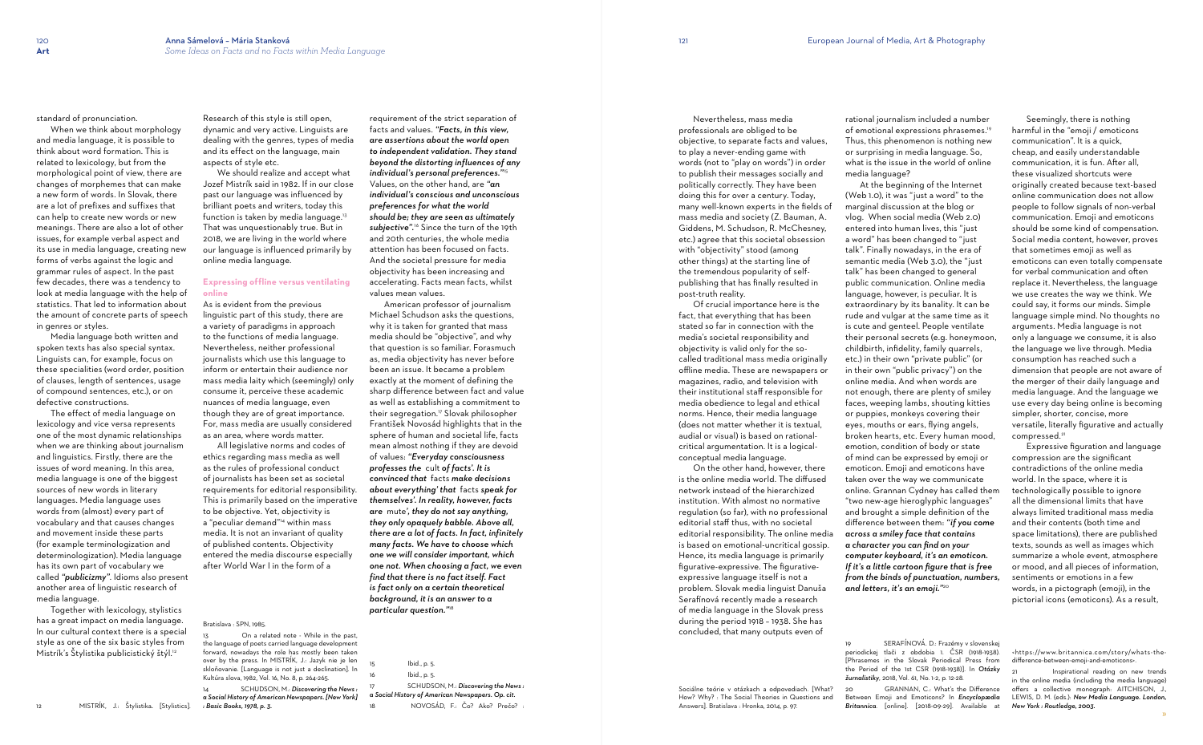#### standard of pronunciation.

 When we think about morphology and media language, it is possible to think about word formation. This is related to lexicology, but from the morphological point of view, there are changes of morphemes that can make a new form of words. In Slovak, there are a lot of prefixes and suffixes that can help to create new words or new meanings. There are also a lot of other issues, for example verbal aspect and its use in media language, creating new forms of verbs against the logic and grammar rules of aspect. In the past few decades, there was a tendency to look at media language with the help of statistics. That led to information about the amount of concrete parts of speech in genres or styles.

Media language both written and spoken texts has also special syntax. Linguists can, for example, focus on these specialities (word order, position of clauses, length of sentences, usage of compound sentences, etc.), or on defective constructions.

 Together with lexicology, stylistics has a great impact on media language. In our cultural context there is a special style as one of the six basic styles from Mistrík's Štylistika publicistický štýl.<sup>12</sup>

 The effect of media language on lexicology and vice versa represents one of the most dynamic relationships when we are thinking about journalism and linguistics. Firstly, there are the issues of word meaning. In this area, media language is one of the biggest sources of new words in literary languages. Media language uses words from (almost) every part of vocabulary and that causes changes and movement inside these parts (for example terminologization and determinologization). Media language has its own part of vocabulary we called *"publicizmy"*. Idioms also present another area of linguistic research of media language.

> On a related note - While in the past, the language of poets carried language development forward, nowadays the role has mostly been taken over by the press. In MISTRÍK, J.: Jazyk nie je len skloňovanie. [Language is not just a declination]. In Kultúra slova, 1982, Vol. 16, No. 8, p. 264-265.

> SCHUDSON, M.: Discovering the News : *a Social History of American Newspapers. [New York] : Basic Books, 1978, p. 3.*

Research of this style is still open, dynamic and very active. Linguists are dealing with the genres, types of media and its effect on the language, main aspects of style etc.

 We should realize and accept what Jozef Mistrík said in 1982. If in our close past our language was influenced by brilliant poets and writers, today this function is taken by media language.<sup>13</sup> That was unquestionably true. But in 2018, we are living in the world where our language is influenced primarily by online media language.

### **Expressing offline versus ventilating online**

As is evident from the previous linguistic part of this study, there are a variety of paradigms in approach to the functions of media language. Nevertheless, neither professional journalists which use this language to inform or entertain their audience nor mass media laity which (seemingly) only consume it, perceive these academic nuances of media language, even though they are of great importance. For, mass media are usually considered as an area, where words matter.

> Ibid., p. 5. 16 Ibid., p. 5.

SCHUDSON, M.: Discovering the News : *a Social History of American Newspapers. Op. cit.* 18 NOVOSÁD, F.: Čo? Ako? Prečo? :

 All legislative norms and codes of ethics regarding mass media as well as the rules of professional conduct of journalists has been set as societal requirements for editorial responsibility. This is primarily based on the imperative to be objective. Yet, objectivity is a "peculiar demand"14 within mass media. It is not an invariant of quality of published contents. Objectivity entered the media discourse especially after World War I in the form of a

Bratislava : SPN, 1985.

requirement of the strict separation of

facts and values. *"Facts, in this view, are assertions about the world open to independent validation. They stand beyond the distorting influences of any individual's personal preferences."*<sup>15</sup> Values, on the other hand, are *"an individual's conscious and unconscious preferences for what the world should be; they are seen as ultimately subjective".* <sup>16</sup> Since the turn of the 19th and 20th centuries, the whole media attention has been focused on facts. And the societal pressure for media objectivity has been increasing and accelerating. Facts mean facts, whilst values mean values. American professor of journalism

> GRANNAN, C.: What's the Difference Between Emoji and Emoticons? In *Encyclopædia Britannica*. [online]. [2018-09-29]. Available at

Michael Schudson asks the questions, why it is taken for granted that mass media should be "objective", and why that question is so familiar. Forasmuch as, media objectivity has never before been an issue. It became a problem exactly at the moment of defining the sharp difference between fact and value as well as establishing a commitment to their segregation.<sup>17</sup> Slovak philosopher František Novosád highlights that in the sphere of human and societal life, facts mean almost nothing if they are devoid of values: *"Everyday consciousness professes the* cult *of facts'. It is convinced that* facts *make decisions about everything' that* facts *speak for themselves'. In reality, however, facts are* mute*', they do not say anything, they only opaquely babble. Above all, there are a lot of facts. In fact, infinitely many facts. We have to choose which one we will consider important, which one not. When choosing a fact, we even find that there is no fact itself. Fact is fact only on a certain theoretical background, it is an answer to a particular question."*<sup>18</sup>

 Nevertheless, mass media professionals are obliged to be objective, to separate facts and values, to play a never-ending game with words (not to "play on words") in order to publish their messages socially and politically correctly. They have been doing this for over a century. Today, many well-known experts in the fields of mass media and society (Z. Bauman, A. Giddens, M. Schudson, R. McChesney, etc.) agree that this societal obsession with "objectivity" stood (among other things) at the starting line of the tremendous popularity of selfpublishing that has finally resulted in post-truth reality.

 Of crucial importance here is the fact, that everything that has been stated so far in connection with the media's societal responsibility and objectivity is valid only for the socalled traditional mass mediaoriginally offline media. These are newspapers or magazines, radio, and television with their institutional staff responsible for media obedience to legal and ethical norms. Hence, their media language (does not matter whether it is textual, audial or visual) is based on rationalcritical argumentation. It is a logicalconceptual media language.

 On the other hand, however, there is the online media world. The diffused network instead of the hierarchized institution. With almost no normative regulation (so far), with no professional editorial staff thus, with no societal editorial responsibility. The online media is based on emotional-uncritical gossip. Hence, its media language is primarily figurative-expressive. The figurativeexpressive language itself is not a problem. Slovak media linguist Danuša Serafínová recently made a research of media language in the Slovak press during the period 1918 – 1938. She has concluded, that many outputs even of

Sociálne teórie v otázkach a odpovediach. [What? How? Why? : The Social Theories in Questions and

Answers]. Bratislava : Hronka, 2014, p. 97.

rational journalism included a number of emotional expressions phrasemes.<sup>19</sup> Thus, this phenomenon is nothing new or surprising in media language. So, what is the issue in the world of online media language?

 At the beginning of the Internet (Web 1.0), it was "just a word" to the marginal discussion at the blog or vlog. When social media (Web 2.0) entered into human lives, this "just a word" has been changed to "just talk". Finally nowadays, in the era of semantic media (Web 3.0), the "just talk" has been changed to general public communication. Online media

language, however, is peculiar. It is extraordinary by its banality. It can be rude and vulgar at the same time as it is cute and genteel. People ventilate their personal secrets (e.g. honeymoon, childbirth, infidelity, family quarrels, etc.) in their own "private public" (or in their own "public privacy") on the online media. And when words are not enough, there are plenty of smiley faces, weeping lambs, shouting kitties or puppies, monkeys covering their eyes, mouths or ears, flying angels, broken hearts, etc. Every human mood, emotion, condition of body or state of mind can be expressed by emoji or emoticon. Emoji and emoticons have taken over the way we communicate online. Grannan Cydney has called them "two new-age hieroglyphic languages" and brought a simple definition of the difference between them: *"if you come across a smiley face that contains a character you can find on your computer keyboard, it's an emoticon. If it's a little cartoon figure that is free from the binds of punctuation, numbers, and letters, it's an emoji."*<sup>20</sup>

19 SERAFÍNOVÁ. D.: Frazémy v slovenskej periodickej tlači z obdobia 1. ČSR (1918-1938). [Phrasemes in the Slovak Periodical Press from the Period of the 1st CSR (1918-1938)]. In *Otázky žurnalistiky*, 2018, Vol. 61, No. 1-2, p. 12-28.

 Seemingly, there is nothing harmful in the "emoji / emoticons communication". It is a quick, cheap, and easily understandable communication, it is fun. After all, these visualized shortcuts were originally created because text-based online communication does not allow people to follow signals of non-verbal communication. Emoji and emoticons should be some kind of compensation. Social media content, however, proves that sometimes emoji as well as emoticons can even totally compensate for verbal communication and often replace it. Nevertheless, the language we use creates the way we think. We could say, it forms our minds. Simple language simple mind. No thoughts no arguments. Media language is not only a language we consume, it is also the language we live through. Media consumption has reached such a dimension that people are not aware of the merger of their daily language and media language. And the language we use every day being online is becoming simpler, shorter, concise, more versatile, literally figurative and actually compressed. 21

 Expressive figuration and language compression are the significant contradictions of the online media world. In the space, where it is technologically possible to ignore all the dimensional limits that have always limited traditional mass media and their contents (both time and space limitations), there are published texts, sounds as well as images which summarize a whole event, atmosphere or mood, and all pieces of information, sentiments or emotions in a few words, in a pictograph (emoji), in the pictorial icons (emoticons). As a result,

Inspirational reading on new trends in the online media (including the media language) offers a collective monograph: AITCHISON, J., LEWIS, D. M. (eds.): *New Media Language. London, New York : Routledge, 2003.*

<sup>&</sup>lt;https://www.britannica.com/story/whats-thedifference-between-emoji-and-emoticons>.